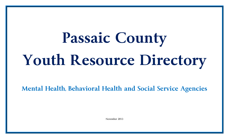## **Passaic County Youth Resource Directory**

**Mental Health, Behavioral Health and Social Service Agencies**

November 2013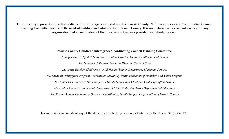**This directory represents the collaborative effort of the agencies listed and the Passaic County Children's Interagency Coordinating Council Planning Committee for the betterment of children and adolescents in Passaic County. It is not exhaustive nor an endorsement of any organization but a compilation of the information that was provided voluntarily by each.** 

> **Passaic County Children's Interagency Coordinating Council Planning Committee** Chairperson: *Dr. Sybil C. Schreiber, Executive Director, Mental Health Clinic of Passaic Mr. Lawrence S. Feather, Executive Director, Circle of Care Ms. Jenny Fletcher, Children's Mental Health Planner, Department of Human Services Ms. Diahann DeRuggiero, Program Coordinator, McKinney-Vento Education of Homeless and Youth Program Ms. Esther East, Executive Director, Jewish Family Service and Children's Center of Clifton-Passaic Ms. Linda Chavez, Passaic County Supervisor of Child Study, New Jersey Department of Education Ms. Karina Bouxin, Community Outreach Coordinator, Family Support Organization of Passaic County*

For more information about any of the directory's contents, please contact Ms. Jenny Fletcher at (973) 225-3193.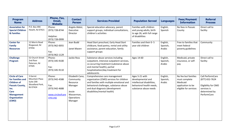| <b>Program</b><br><b>Name</b>                                                                                                                                         | <b>Address</b>                                                        | Phone, Fax,<br>Email,<br><b>Website</b>                                           | <b>Contact</b><br><b>Person</b>                                                                      | <b>Services Provided</b>                                                                                                                                                                                                          | <b>Population Served</b>                                                                                               | <b>Languages</b>               | <b>Fees/Payment</b><br><b>Information</b>                                                      | <b>Referral</b><br><b>Process</b>                                                                        |
|-----------------------------------------------------------------------------------------------------------------------------------------------------------------------|-----------------------------------------------------------------------|-----------------------------------------------------------------------------------|------------------------------------------------------------------------------------------------------|-----------------------------------------------------------------------------------------------------------------------------------------------------------------------------------------------------------------------------------|------------------------------------------------------------------------------------------------------------------------|--------------------------------|------------------------------------------------------------------------------------------------|----------------------------------------------------------------------------------------------------------|
| <b>Association for</b><br><b>Special Children</b><br>& Families                                                                                                       | P.O. Box 494<br>Hewitt, NJ 07421                                      | Phone:<br>(973) 728-8744<br>Helpline:<br>(973) 728-0999                           | Angela Abdul,<br>Executive<br>Director                                                               | Special education advocacy, parent<br>support groups, individual consultations,<br>children's activities                                                                                                                          | Families with children<br>and young adults, birth<br>to age 26, with full range<br>of disabilities                     | English,<br>Spanish            | No fees in Passaic<br>County                                                                   | Direct call to<br>facility                                                                               |
| <b>Center for</b><br><b>Family</b><br><b>Resources</b>                                                                                                                | 12 Morris Road<br>Ringwood, NJ<br>07456                               | Phone:<br>(973) 962-0055<br>Fax:<br>(973) 962-1129                                | Jean Budd<br>Janet Maven                                                                             | Head Start preschool, Early Head Start<br>childcare, food pantry, rental and utility<br>assistance, parent education, family<br>support groups                                                                                    | Families and their 0-5<br>year old children                                                                            | English,<br>Spanish,<br>Arabic | Free to families that<br>meet federal<br>poverty guidelines                                    | Community                                                                                                |
| <b>Challenge</b><br>Program                                                                                                                                           | 52 Church Street<br>2nd floor<br>Paterson, NJ<br>07505                | Phone:<br>(973) 345-9100<br>Fax:<br>(973) 345-9110                                | Jackie Ross                                                                                          | Substance abuse services including<br>outpatient, intensive outpatient services,<br>co-occurring treatment (substance abuse<br>and mental health), partial<br>hospitalization/day treatment for<br>adolescents                    | Ages 14-60                                                                                                             | English,<br>Spanish,<br>Arabic | Medicaid, private<br>insurance, or self-<br>pay                                                | Direct call to<br>facility                                                                               |
| <b>Circle of Care</b><br>for Families and<br><b>Children of</b><br><b>Passaic County,</b><br>Inc.<br><b>Care</b><br><b>Management</b><br><b>Organization</b><br>(CMO) | 3 Garret<br>Mountain Plaza<br>Suite 200<br>Woodland Park,<br>NJ 07424 | Phone:<br>(973) 942-4588<br>Fax:<br>(973) 942-4688<br>www.circleofcare<br>cmo.org | Elizabeth Cano,<br>Community<br>Resource<br>Manager<br>Jessie<br>Wasserman,<br>Operations<br>Manager | Comprehensive care management<br>organization (CMO) services for children<br>and families with multiple emotional and<br>behavioral challenges, substance abuse<br>and dual diagnosis (development<br>disabilities/mental health) | Ages 5-21 with<br>developmental and<br>intellectual disabilities,<br>behavioral health needs,<br>substance abuse needs | English,<br>Spanish,<br>Arabic | No fee but families<br>must complete<br>Medicaid<br>application to be<br>eligible for services | Call PerformCare<br>(877) 652-7624<br>Eligibility for CMO<br>services is<br>determined by<br>PerformCare |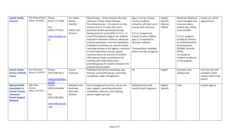| <b>Jewish Family</b>    | 925 Allwood Road  | Phone:                   | For intake:   | Play therapy - child centered, directed,       | Ages 2 and up, Passaic      | English, | Medicaid, Medicare,  | Family can call for |
|-------------------------|-------------------|--------------------------|---------------|------------------------------------------------|-----------------------------|----------|----------------------|---------------------|
| <b>Services</b>         | Clifton, NJ 07012 | (973) 777-7638           | Sharon        | sand tray, family; family therapy;             | County residents            | Spanish, | most managed care    | appointment         |
|                         |                   |                          | Zwickler      | Parenting Journey-12 sessions to help          | primarily, will take out of | Hebrew,  | insurance plans,     |                     |
|                         |                   | Fax:                     |               | parents tune in to ways they were              | county with insurance       | Yiddish  | private pay, sliding |                     |
|                         |                   | (973) 777-9311           | Esther East,  | parented; Kazdin parenting training;           |                             |          | scale possible       |                     |
|                         |                   |                          | Director      | family group for social skills; $P.A.L.S. - 6$ | P.A.L.S. program for        |          |                      |                     |
|                         |                   | www.jfsclifton.co        |               | month therapeutic program for children         | Passaic County children     |          | P.A.L.S. program     |                     |
|                         |                   | $\underline{\mathbf{m}}$ |               | exposed to domestic violence; advanced         | ages 2-12 exposed to        |          | funded by Division   |                     |
|                         |                   |                          |               | practice psychiatric nurse for medication      | domestic violence           |          | on Child Protection  |                     |
|                         |                   |                          |               | evaluation and follow up, only for clients     |                             |          | & Permanency         |                     |
|                         |                   |                          |               | receiving therapy at the agency; intensive     | Transportation available    |          | (DCP&P, formally     |                     |
|                         |                   |                          |               | in-home behavioral service; parent             | within 10 miles of agency   |          | DYFS);               |                     |
|                         |                   |                          |               | resource library for parents of children       |                             |          | no charge to         |                     |
|                         |                   |                          |               | with special needs; consultations for          |                             |          | children or parents  |                     |
|                         |                   |                          |               | working with child study teams;                |                             |          | in the program       |                     |
|                         |                   |                          |               | parenting group for youth involved in the      |                             |          |                      |                     |
|                         |                   |                          |               | juvenile justice system                        |                             |          |                      |                     |
| <b>Jewish Family</b>    | One Pike Drive    | Phone:                   | Lauryn        | Individual and family counseling, play         | All                         | English  | Insurance and        | Call main line and  |
| <b>Service of North</b> | Wayne, NJ 07470   | (973) 595-0111           | Tuchman       | therapy, social skills groups, parenting       |                             |          | sliding scale        | complete intake     |
| <b>Jersey</b>           |                   |                          |               | workshops, anger management                    |                             |          |                      | request with intake |
|                         |                   | www.jfsnorthjers         |               |                                                |                             |          |                      | worker              |
|                         |                   | ey.org                   |               |                                                |                             |          |                      |                     |
| <b>Mental Health</b>    | 404 Clifton       | Phone:                   | Rebekah Leon, | Case management services, one to one           | Adults/parents with         | English, | Free                 | Contact agency      |
| <b>Association in</b>   | Avenue            | (973) 478-4444           | Associate     | peer support, parenting education              | mental health diagnosis     | Spanish  |                      |                     |
| <b>Passaic County,</b>  | Clifton, NJ 07011 |                          | Executive     | workshops, advocacy, and ongoing               |                             |          |                      |                     |
| <b>Consumer</b>         |                   | Fax:                     | Director      | parent support groups                          |                             |          |                      |                     |
| <b>Parent Support</b>   |                   | (973) 478-0941           |               |                                                |                             |          |                      |                     |
| <b>Network</b>          |                   |                          |               |                                                |                             |          |                      |                     |
|                         |                   | www.Mhapassaic           |               |                                                |                             |          |                      |                     |
|                         |                   | .org                     |               |                                                |                             |          |                      |                     |
|                         |                   |                          |               |                                                |                             |          |                      |                     |
|                         |                   |                          |               |                                                |                             |          |                      |                     |
|                         |                   |                          |               |                                                |                             |          |                      |                     |
|                         |                   |                          |               |                                                |                             |          |                      |                     |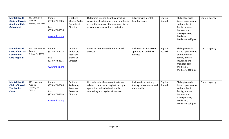| <b>Mental Health</b><br><b>Clinic of Passaic</b><br><b>Adult and Child</b><br><b>Outpatient</b> | 111 Lexington<br>Avenue<br>Passaic, NJ 07055    | Phone:<br>(973) 471-8006<br>Fax:<br>(973) 471-1630<br>www.mhcp.org | Elizabeth<br>Marton-Soltis,<br>Outpatient<br>Director        | Outpatient mental health counseling<br>consisting of individual, group, and family<br>psychotherapy; play therapy; psychiatric<br>evaluations; medication monitoring | All ages with mental<br>health disorder                            | English,<br>Spanish | Sliding fee scale<br>based upon income<br>and number in<br>family, private<br>insurance and<br>managed care,<br>Medicaid,<br>Medicare, self-pay | Contact agency |
|-------------------------------------------------------------------------------------------------|-------------------------------------------------|--------------------------------------------------------------------|--------------------------------------------------------------|----------------------------------------------------------------------------------------------------------------------------------------------------------------------|--------------------------------------------------------------------|---------------------|-------------------------------------------------------------------------------------------------------------------------------------------------|----------------|
| <b>Mental Health</b><br><b>Clinic of Passaic</b><br><b>Community</b><br><b>Care Program</b>     | 1451 Van Houten<br>Avenue<br>Clifton, NJ 07013  | Phone:<br>(973) 473-2775<br>Fax:<br>(973) 473-3625<br>www.mhcp.org | Dr. Peter<br>Anderson,<br>Associate<br>Executive<br>Director | Intensive home-based mental health<br>services                                                                                                                       | Children and adolescents<br>ages 4 to 17 and their<br>families     | English,<br>Spanish | Sliding fee scale<br>based upon income<br>and number in<br>family, private<br>insurance and<br>managed care,<br>Medicaid,<br>Medicare, self-pay | Contact agency |
| <b>Mental Health</b><br><b>Clinic of Passaic</b><br><b>The Family</b><br><b>Center</b>          | 111 Lexington<br>Avenue<br>Passaic, NJ<br>07055 | Phone:<br>(973) 471-8006<br>Fax:<br>(973) 471-1630<br>www.mhcp.org | Dr. Peter<br>Anderson,<br>Associate<br>Executive<br>Director | Home-based/office-based treatment<br>related to abuse and neglect through<br>specialized individual and family<br>counseling and psychiatric services                | Children from infancy<br>through adolescence and<br>their families | English,<br>Spanish | Sliding fee scale<br>based upon income<br>and number in<br>family, private<br>insurance and<br>managed care,<br>Medicaid,<br>Medicare, self-pay | Contact agency |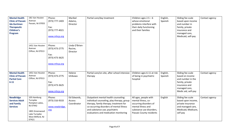| <b>Mental Health</b><br><b>Clinic of Passaic</b><br><b>Ida Gurtman</b><br><b>Therapeutic</b><br><b>Children's</b><br>Program | 181 Van Houten<br>Avenue<br>Passaic, NJ 07055<br>1451 Van Houten<br>Avenue<br>Clifton, NJ 07013                       | Phone:<br>(973) 777-1403<br>Fax:<br>(973) 777-4021<br>www.mhcp.org<br>Phone:<br>(973) 473-2775<br>Fax:<br>(973) 473-3625<br>www.mhcp.org | Maribel<br>Adamo,<br>Director<br>Linda O'Brien-<br>Racine,<br>Director | Partial care/day treatment                                                                                                                                                                                                                          | Children ages $2.5 - 6$<br>whose emotional<br>problems interfere with<br>their daily functioning<br>and their families                               | English,<br>Spanish | Sliding fee scale<br>based upon income<br>and number in<br>family, private<br>insurance and<br>managed care,<br>Medicaid, self-pay    | Contact agency |
|------------------------------------------------------------------------------------------------------------------------------|-----------------------------------------------------------------------------------------------------------------------|------------------------------------------------------------------------------------------------------------------------------------------|------------------------------------------------------------------------|-----------------------------------------------------------------------------------------------------------------------------------------------------------------------------------------------------------------------------------------------------|------------------------------------------------------------------------------------------------------------------------------------------------------|---------------------|---------------------------------------------------------------------------------------------------------------------------------------|----------------|
| <b>Mental Health</b><br><b>Clinic of Passaic</b><br><b>Partial Care</b><br>$6 - 11$                                          | 1451 Van Houten<br>Avenue<br>Clifton, NJ 07013                                                                        | Phone:<br>(973) 473-2775<br>Fax:<br>(973) 473-3625<br>www.mhcp.org                                                                       | Helene<br>Ishikawa                                                     | Partial care/on-site, after school intensive<br>therapy                                                                                                                                                                                             | Children ages 6-11 at risk<br>of being in psychiatric<br>hospital                                                                                    | English,<br>Spanish | Sliding fee scale<br>based on income<br>and number in the<br>family, private<br>insurance and<br>managed care,<br>Medic aid, self-pay | Contact agency |
| <b>NewBridge</b><br><b>Services Adult</b><br>and Family<br><b>Services</b>                                                   | 105 Hamburg<br>Turnpike<br>Pompton Lakes,<br>NJ 07442<br>1801 Greenwood<br>Lake Turnpike<br>West Milford, NJ<br>07421 | Phone:<br>(973) 316-9333<br>www.newbridge.<br>org                                                                                        | Ed Edwards,<br>Access<br>Coordinator                                   | Outpatient mental health counseling:<br>individual counseling, play therapy, group<br>therapy, family therapy; treatment for<br>co-occurring disorders of mental illness<br>and substance use; psychiatric<br>evaluations and medication monitoring | All ages, people with<br>mental illness, co-<br>occurring disorders of<br>mental illness and<br>substance use disorders,<br>Passaic County residents | English             | Sliding fee scale<br>based upon income,<br>private insurance<br>and managed care,<br>Medicaid, Medicare,<br>self pay                  | Contact agency |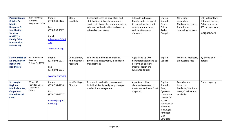| <b>Passaic County</b><br><b>Children's</b><br><b>Mobile</b><br><b>Response &amp;</b><br><b>Stabilization</b><br><b>Services</b><br>(CMRSS) -<br><b>Family Crisis</b><br><b>Intervention</b><br>Unit (FCIU) | 1784 Hamburg<br>Turnpike<br>Wayne, NJ 07836                  | Phone:<br>(973) 839.1126<br>Fax:<br>(973) 839.3067<br>Email:<br>mlagattuta@fisnj<br>.org<br>www.Fisnj.org | Maria<br>Lagattuta                          | Behavioral crises de-escalation and<br>stabilization, linkage to community<br>services, in-home therapeutic services,<br>advocacy with education and courts,<br>referrals as necessary | All youth in Passaic<br>County up to the age of<br>21, including those with<br>developmental delays<br>and substance use<br>disorders | English,<br>Spanish,<br>Creole,<br>Polish,<br>Arabic,<br>Bengali,                                                                                             | No fees for<br>dispatches;<br>Medicaid or related<br>for in-home<br>counseling services | Call PerformCare<br>(24 hours per day,<br>7 days per week,<br>365 days per year)<br>(877) 652-7624 |
|------------------------------------------------------------------------------------------------------------------------------------------------------------------------------------------------------------|--------------------------------------------------------------|-----------------------------------------------------------------------------------------------------------|---------------------------------------------|----------------------------------------------------------------------------------------------------------------------------------------------------------------------------------------|---------------------------------------------------------------------------------------------------------------------------------------|---------------------------------------------------------------------------------------------------------------------------------------------------------------|-----------------------------------------------------------------------------------------|----------------------------------------------------------------------------------------------------|
| <b>SERV Centers of</b><br>NJ, Inc. (Clifton<br><b>Behavioral</b><br><b>Healthcare</b> )                                                                                                                    | 777 Bloomfield<br>Avenue<br>Clifton, NJ 07012                | Phone:<br>(973) 594-0125<br>Fax:<br>(973) 594-0536<br>www.servbhs.org                                     | Deb Coleman,<br>Administrative<br>Assistant | Family and individual counseling,<br>psychiatric assessments, medication<br>management                                                                                                 | Ages 6 and up with<br>behavioral health and co-<br>occurring disorders<br>(mental health and<br>substance abuse)                      | English,<br>Spanish                                                                                                                                           | Medicaid, Medicare,<br>sliding scale fees                                               | By phone or in<br>person                                                                           |
| St. Joseph's<br><b>Regional</b><br><b>Medical Center,</b><br><b>Outpatient</b><br><b>Mental Health</b><br><b>Clinic</b>                                                                                    | 56 and 60<br><b>Hamilton Street</b><br>Paterson, NJ<br>07505 | Phone:<br>(973) 754-4750<br>Fax:<br>(973) 754-4777<br>www.stjosephsh<br>ealth.org                         | Jennifer Hayes,<br>Director                 | Psychiatric evaluation; assessment;<br>individual, family and group therapy;<br>medication management                                                                                  | Ages 5 and older;<br>clients who consent to<br>treatment and have DSM<br>diagnosis                                                    | English,<br>Spanish,<br>Farsi,<br>Cyracom<br>translation<br>phones for<br>access to<br>hundreds of<br>different<br>languages,<br>American<br>Sign<br>Language | Fee schedule<br>based on<br>Medicaid/Medicare<br>rates; Charity Care<br>available       | Contact agency                                                                                     |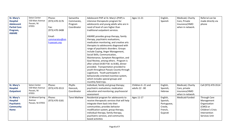| St. Mary's<br><b>Hospital</b><br><b>Adolescent</b><br><b>Partial Care</b><br>Program,<br><b>AWARE</b> | Seton Center<br>530 Main Avenue<br>Passaic, NJ<br>07055 | Phone:<br>(973) 470-3176<br>Fax:<br>(973) 470-3408<br>Email:<br>commaratos@sm<br>h-passaic.org | Samantha<br>Commarato,<br>Program<br>Coordinator | Adolescent PHP at St. Mary's (PHP) is<br>intensive therapeutic program for<br>adolescents and young adults who are in<br>need of level of care higher than<br>traditional outpatient services.<br>AWARE provides group therapy, family<br>therapy, psychiatric evaluations,<br>medication monitoring, and creative arts<br>therapies to adolescents diagnosed with<br>range of psychiatric disorders. Groups<br>include Coping, Anger Management,<br>Social Skills, Communication,<br>Maintenance, Symptom Recognition, and<br>Goal Review, among others. Program is<br>after school (4:00 P.M. to 8:00), dinner<br>provided. Transportation provided to<br>youth throughout Passaic County through<br>Logisticare. Youth participate in<br>behaviorally oriented incentive system, | Ages 11-21                           | English,<br>Spanish                                                   | Medicaid, Charity<br>Care, Private<br>Insurance/HMO<br>when in network. | Referral can be<br>made directly via<br>phone                                                                |
|-------------------------------------------------------------------------------------------------------|---------------------------------------------------------|------------------------------------------------------------------------------------------------|--------------------------------------------------|-------------------------------------------------------------------------------------------------------------------------------------------------------------------------------------------------------------------------------------------------------------------------------------------------------------------------------------------------------------------------------------------------------------------------------------------------------------------------------------------------------------------------------------------------------------------------------------------------------------------------------------------------------------------------------------------------------------------------------------------------------------------------------------|--------------------------------------|-----------------------------------------------------------------------|-------------------------------------------------------------------------|--------------------------------------------------------------------------------------------------------------|
|                                                                                                       |                                                         |                                                                                                |                                                  | which includes special groups and<br>monthly field trips.                                                                                                                                                                                                                                                                                                                                                                                                                                                                                                                                                                                                                                                                                                                           |                                      |                                                                       |                                                                         |                                                                                                              |
| St. Mary's<br><b>Hospital</b><br><b>Outpatient</b>                                                    | Seton Center<br>530 Main Avenue<br>Passaic, NJ<br>07055 | Phone:<br>(973) 470-3513                                                                       | Phyllis<br>Hancock,<br>Coordinator               | Individual, family and group therapy;<br>psychiatric evaluations; medication<br>education and monitoring; psychosocial<br>assessment                                                                                                                                                                                                                                                                                                                                                                                                                                                                                                                                                                                                                                                | Children 6 -21 and<br>adults 22 - 80 | English,<br>Spanish,<br>Hebrew                                        | Medicaid, Charity<br>Care, private<br>insurance/HMO<br>when in-network. | Call (973) 470-3514                                                                                          |
| St. Mary's<br><b>Hospital</b><br><b>Psychiatric</b><br><b>Community</b><br>Home                       | 33 Mineral Spring<br>Avenue<br>Passaic, NJ 07055        | Phone:<br>(973) 470-3181                                                                       | <b>Tanvi Mathew</b>                              | Residential program for adolescents to<br>receive therapeutic services that will help<br>integrate them back into their<br>communities; provides behavior<br>modification system, group therapy,<br>individual therapy, family therapy,<br>psychiatric services, and community<br>based activities                                                                                                                                                                                                                                                                                                                                                                                                                                                                                  | Ages 11-17                           | English,<br>Spanish,<br>Portuguese,<br>Creole,<br>French,<br>Gujarati | Medicaid-funded                                                         | Through Care<br>Management<br>Organization<br>(CMO) or<br>Children's Crisis<br>Intervention<br>Services Unit |